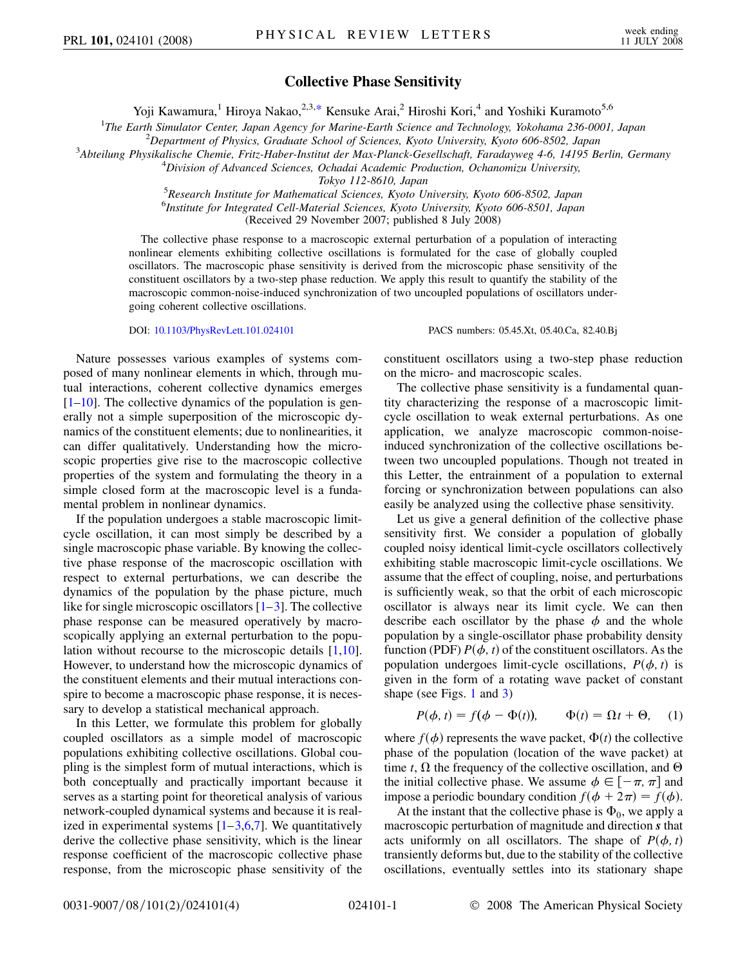## **Collective Phase Sensitivity**

Yoji Kawamura,<sup>1</sup> Hiroya Nakao,<sup>2,3,[\\*](#page-3-0)</sup> Kensuke Arai,<sup>2</sup> Hiroshi Kori,<sup>4</sup> and Yoshiki Kuramoto<sup>5,6</sup>

<span id="page-0-1"></span><sup>1</sup>The Earth Simulator Center, Japan Agency for Marine-Earth Science and Technology, Yokohama 236-0001, Japan<br><sup>2</sup> Denartment of Physics, Graduate School of Sciences, Kyoto University, Kyoto 606,8502, Japan

*Department of Physics, Graduate School of Sciences, Kyoto University, Kyoto 606-8502, Japan* <sup>3</sup>

*Abteilung Physikalische Chemie, Fritz-Haber-Institut der Max-Planck-Gesellschaft, Faradayweg 4-6, 14195 Berlin, Germany* <sup>4</sup>

*Division of Advanced Sciences, Ochadai Academic Production, Ochanomizu University,*

*Tokyo 112-8610, Japan* <sup>5</sup> *Research Institute for Mathematical Sciences, Kyoto University, Kyoto 606-8502, Japan*

6 *Institute for Integrated Cell-Material Sciences, Kyoto University, Kyoto 606-8501, Japan*

(Received 29 November 2007; published 8 July 2008)

The collective phase response to a macroscopic external perturbation of a population of interacting nonlinear elements exhibiting collective oscillations is formulated for the case of globally coupled oscillators. The macroscopic phase sensitivity is derived from the microscopic phase sensitivity of the constituent oscillators by a two-step phase reduction. We apply this result to quantify the stability of the macroscopic common-noise-induced synchronization of two uncoupled populations of oscillators undergoing coherent collective oscillations.

DOI: [10.1103/PhysRevLett.101.024101](http://dx.doi.org/10.1103/PhysRevLett.101.024101) PACS numbers: 05.45.Xt, 05.40.Ca, 82.40.Bj

Nature possesses various examples of systems composed of many nonlinear elements in which, through mutual interactions, coherent collective dynamics emerges  $[1–10]$  $[1–10]$  $[1–10]$ . The collective dynamics of the population is generally not a simple superposition of the microscopic dynamics of the constituent elements; due to nonlinearities, it can differ qualitatively. Understanding how the microscopic properties give rise to the macroscopic collective properties of the system and formulating the theory in a simple closed form at the macroscopic level is a fundamental problem in nonlinear dynamics.

If the population undergoes a stable macroscopic limitcycle oscillation, it can most simply be described by a single macroscopic phase variable. By knowing the collective phase response of the macroscopic oscillation with respect to external perturbations, we can describe the dynamics of the population by the phase picture, much like for single microscopic oscillators  $[1-3]$  $[1-3]$  $[1-3]$ . The collective phase response can be measured operatively by macroscopically applying an external perturbation to the population without recourse to the microscopic details [[1](#page-3-1)[,10\]](#page-3-2). However, to understand how the microscopic dynamics of the constituent elements and their mutual interactions conspire to become a macroscopic phase response, it is necessary to develop a statistical mechanical approach.

In this Letter, we formulate this problem for globally coupled oscillators as a simple model of macroscopic populations exhibiting collective oscillations. Global coupling is the simplest form of mutual interactions, which is both conceptually and practically important because it serves as a starting point for theoretical analysis of various network-coupled dynamical systems and because it is realized in experimental systems  $[1-3,6,7]$  $[1-3,6,7]$  $[1-3,6,7]$  $[1-3,6,7]$  $[1-3,6,7]$ . We quantitatively derive the collective phase sensitivity, which is the linear response coefficient of the macroscopic collective phase response, from the microscopic phase sensitivity of the constituent oscillators using a two-step phase reduction on the micro- and macroscopic scales.

The collective phase sensitivity is a fundamental quantity characterizing the response of a macroscopic limitcycle oscillation to weak external perturbations. As one application, we analyze macroscopic common-noiseinduced synchronization of the collective oscillations between two uncoupled populations. Though not treated in this Letter, the entrainment of a population to external forcing or synchronization between populations can also easily be analyzed using the collective phase sensitivity.

Let us give a general definition of the collective phase sensitivity first. We consider a population of globally coupled noisy identical limit-cycle oscillators collectively exhibiting stable macroscopic limit-cycle oscillations. We assume that the effect of coupling, noise, and perturbations is sufficiently weak, so that the orbit of each microscopic oscillator is always near its limit cycle. We can then describe each oscillator by the phase  $\phi$  and the whole population by a single-oscillator phase probability density function (PDF)  $P(\phi, t)$  of the constituent oscillators. As the population undergoes limit-cycle oscillations,  $P(\phi, t)$  is given in the form of a rotating wave packet of constant shape (see Figs. [1](#page-2-0) and [3](#page-3-6))

<span id="page-0-0"></span>
$$
P(\phi, t) = f(\phi - \Phi(t)), \qquad \Phi(t) = \Omega t + \Theta, \quad (1)
$$

where  $f(\phi)$  represents the wave packet,  $\Phi(t)$  the collective phase of the population (location of the wave packet) at time *t*,  $\Omega$  the frequency of the collective oscillation, and  $\Theta$ the initial collective phase. We assume  $\phi \in [-\pi, \pi]$  and impose a periodic boundary condition  $f(\phi + 2\pi) = f(\phi)$ .

At the instant that the collective phase is  $\Phi_0$ , we apply a macroscopic perturbation of magnitude and direction *s* that acts uniformly on all oscillators. The shape of  $P(\phi, t)$ transiently deforms but, due to the stability of the collective oscillations, eventually settles into its stationary shape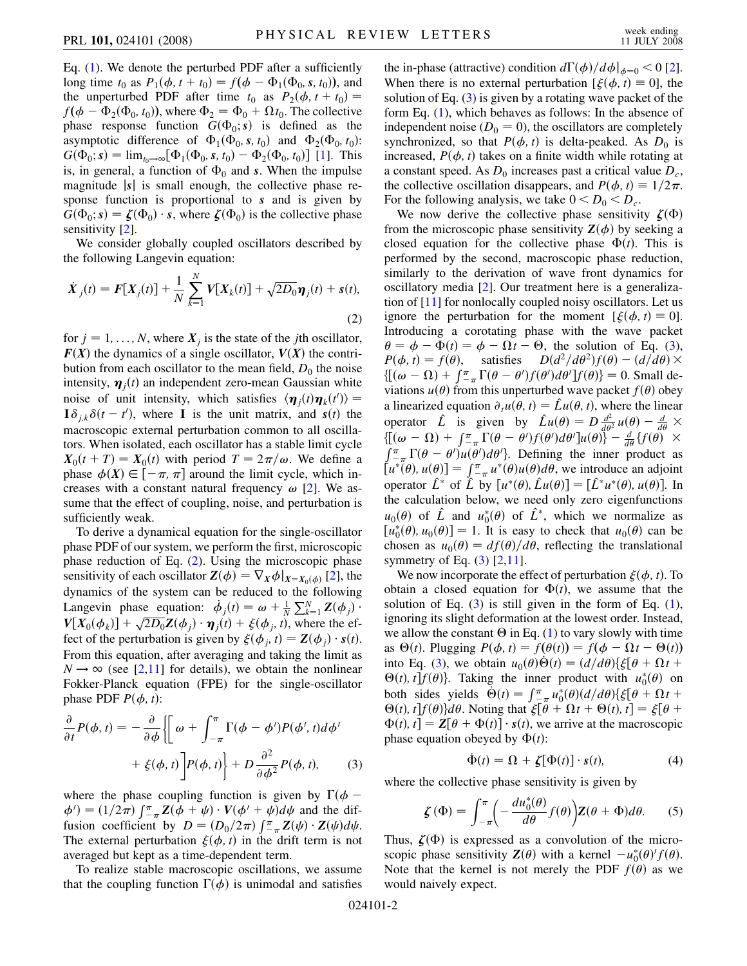Eq.  $(1)$  $(1)$ . We denote the perturbed PDF after a sufficiently long time  $t_0$  as  $P_1(\phi, t + t_0) = f(\phi - \Phi_1(\Phi_0, s, t_0))$ , and the unperturbed PDF after time  $t_0$  as  $P_2(\phi, t + t_0) =$  $f(\phi - \Phi_2(\Phi_0, t_0))$ , where  $\Phi_2 = \Phi_0 + \Omega t_0$ . The collective phase response function  $G(\Phi_0; s)$  is defined as the asymptotic difference of  $\Phi_1(\Phi_0, s, t_0)$  and  $\Phi_2(\Phi_0, t_0)$ :  $G(\Phi_0; s) = \lim_{t_0 \to \infty} [\Phi_1(\Phi_0, s, t_0) - \Phi_2(\Phi_0, t_0)]$  [\[1](#page-3-1)]. This is, in general, a function of  $\Phi_0$  and *s*. When the impulse magnitude j*s*j is small enough, the collective phase response function is proportional to *s* and is given by  $G(\Phi_0; s) = \zeta(\Phi_0) \cdot s$ , where  $\zeta(\Phi_0)$  is the collective phase sensitivity [\[2\]](#page-3-7).

We consider globally coupled oscillators described by the following Langevin equation:

<span id="page-1-0"></span>
$$
\dot{X}_j(t) = F[X_j(t)] + \frac{1}{N} \sum_{k=1}^{N} V[X_k(t)] + \sqrt{2D_0} \eta_j(t) + s(t),
$$
\n(2)

for  $j = 1, \ldots, N$ , where  $X_j$  is the state of the *j*th oscillator,  $F(X)$  the dynamics of a single oscillator,  $V(X)$  the contribution from each oscillator to the mean field,  $D_0$  the noise intensity,  $\mathbf{\eta}_j(t)$  an independent zero-mean Gaussian white noise of unit intensity, which satisfies  $\langle \eta_j(t)\eta_k(t')\rangle =$  $\mathbf{I} \delta_{j,k} \delta(t-t')$ , where **I** is the unit matrix, and *s(t)* the macroscopic external perturbation common to all oscillators. When isolated, each oscillator has a stable limit cycle  $X_0(t+T) = X_0(t)$  with period  $T = 2\pi/\omega$ . We define a phase  $\phi(X) \in [-\pi, \pi]$  around the limit cycle, which increases with a constant natural frequency  $\omega$  [[2\]](#page-3-7). We assume that the effect of coupling, noise, and perturbation is sufficiently weak.

To derive a dynamical equation for the single-oscillator phase PDF of our system, we perform the first, microscopic phase reduction of Eq. [\(2\)](#page-1-0). Using the microscopic phase sensitivity of each oscillator  $\mathbf{Z}(\phi) = \nabla_X \phi|_{X = X_0(\phi)}$  [\[2\]](#page-3-7), the dynamics of the system can be reduced to the following Langevin phase equation:  $\dot{\phi}_j(t) = \omega + \frac{1}{N} \sum_{k=1}^N \mathbf{Z}(\phi_j)$ .  $V[X_0(\phi_k)] + \sqrt{2D_0}Z(\phi_j) \cdot \eta_j(t) + \xi(\phi_j, t)$ , where the effect of the perturbation is given by  $\xi(\phi_j, t) = \mathbf{Z}(\phi_j) \cdot s(t)$ . From this equation, after averaging and taking the limit as  $N \rightarrow \infty$  (see [\[2](#page-3-7)[,11\]](#page-3-8) for details), we obtain the nonlinear Fokker-Planck equation (FPE) for the single-oscillator phase PDF  $P(\phi, t)$ :

<span id="page-1-1"></span>
$$
\frac{\partial}{\partial t}P(\phi, t) = -\frac{\partial}{\partial \phi} \left\{ \left[ \omega + \int_{-\pi}^{\pi} \Gamma(\phi - \phi')P(\phi', t) d\phi' \right] + \xi(\phi, t) \right\} + D \frac{\partial^2}{\partial \phi^2} P(\phi, t), \tag{3}
$$

where the phase coupling function is given by  $\Gamma(\phi - )$  $\phi' = (1/2\pi) \int_{-\pi}^{\pi} Z(\phi + \psi) \cdot V(\phi' + \psi) d\psi$  and the diffusion coefficient by  $D = (D_0/2\pi) \int_{-\pi}^{\pi} Z(\psi) \cdot Z(\psi) d\psi$ . The external perturbation  $\xi(\phi, t)$  in the drift term is not averaged but kept as a time-dependent term.

To realize stable macroscopic oscillations, we assume that the coupling function  $\Gamma(\phi)$  is unimodal and satisfies

the in-phase (attractive) condition  $d\Gamma(\phi)/d\phi|_{\phi=0} < 0$  [[2\]](#page-3-7). When there is no external perturbation  $[\xi(\phi, t) \equiv 0]$ , the solution of Eq. [\(3](#page-1-1)) is given by a rotating wave packet of the form Eq. [\(1](#page-0-0)), which behaves as follows: In the absence of independent noise  $(D_0 = 0)$ , the oscillators are completely synchronized, so that  $P(\phi, t)$  is delta-peaked. As  $D_0$  is increased,  $P(\phi, t)$  takes on a finite width while rotating at a constant speed. As  $D_0$  increases past a critical value  $D_c$ , the collective oscillation disappears, and  $P(\phi, t) \equiv 1/2\pi$ . For the following analysis, we take  $0 < D_0 < D_c$ .

We now derive the collective phase sensitivity  $\zeta(\Phi)$ from the microscopic phase sensitivity  $Z(\phi)$  by seeking a closed equation for the collective phase  $\Phi(t)$ . This is performed by the second, macroscopic phase reduction, similarly to the derivation of wave front dynamics for oscillatory media [\[2\]](#page-3-7). Our treatment here is a generalization of [\[11\]](#page-3-8) for nonlocally coupled noisy oscillators. Let us ignore the perturbation for the moment  $[\xi(\phi, t) \equiv 0]$ . Introducing a corotating phase with the wave packet  $\theta = \phi - \Phi(t) = \phi - \Omega t - \Theta$ , the solution of Eq. ([3\)](#page-1-1),  $P(\phi, t) = f(\theta)$ , satisfies  $D(d^2/d\theta^2)f(\theta) - (d/d\theta) \times$  $E(a/\mu v)$  (v)  $(a/\mu v)$  (e)<br>{ $[ (\omega - \Omega) + \int_{-\pi}^{\pi} \Gamma(\theta - \theta') f(\theta') d\theta' ] f(\theta)$ } = 0. Small deviations  $u(\theta)$  from this unperturbed wave packet  $f(\theta)$  obey a linearized equation  $\partial_t u(\theta, t) = \hat{L}u(\theta, t)$ , where the linear operator  $\hat{L}$  is given by  $\hat{L}u(\theta) = D\frac{d^2}{d\theta^2}u(\theta) - \frac{d}{d\theta} \times$  $\int_{0}^{a} \frac{d\theta}{\sqrt{a^2 - 4}} \cdot d\theta = \int_{0}^{a} \frac{d\theta}{\sqrt{a^2 - 4}} \cdot d\theta = \int_{0}^{a} \frac{d\theta}{\sqrt{a^2 - 4}} \cdot d\theta = \int_{0}^{a} \frac{d\theta}{\sqrt{a^2 - 4}} \cdot d\theta$  $\int_{-\pi}^{\pi} \Gamma(\theta - \theta') u(\theta') d\theta'$ . Defining the inner product as  $[u^*(\theta), u(\theta)] = \int_{-\pi}^{\pi} u^*(\theta)u(\theta) d\theta$ , we introduce an adjoint operator  $\hat{L}^*$  of  $\hat{L}$  by  $[u^*(\theta), \hat{L}u(\theta)] = [\hat{L}^*u^*(\theta), u(\theta)].$  In the calculation below, we need only zero eigenfunctions  $u_0(\theta)$  of  $\hat{L}$  and  $u_0^*(\theta)$  of  $\hat{L}^*$ , which we normalize as  $[u_0^*(\theta), u_0(\theta)] = 1$ . It is easy to check that  $u_0(\theta)$  can be chosen as  $u_0(\theta) = df(\theta)/d\theta$ , reflecting the translational symmetry of Eq. [\(3\)](#page-1-1) [[2,](#page-3-7)[11\]](#page-3-8).

We now incorporate the effect of perturbation  $\xi(\phi, t)$ . To obtain a closed equation for  $\Phi(t)$ , we assume that the solution of Eq.  $(3)$  $(3)$  $(3)$  is still given in the form of Eq.  $(1)$  $(1)$ , ignoring its slight deformation at the lowest order. Instead, we allow the constant  $\Theta$  in Eq. [\(1\)](#page-0-0) to vary slowly with time as  $\Theta(t)$ . Plugging  $P(\phi, t) = f(\theta(t)) = f(\phi - \Omega t - \Theta(t))$ into Eq. [\(3](#page-1-1)), we obtain  $u_0(\theta)\dot{\Theta}(t) = \frac{d}{d\theta}\xi[\theta + \Omega t +$  $\Theta(t)$ , *t*]*f*( $\theta$ )}. Taking the inner product with  $u_0^*(\theta)$  on both sides yields  $\dot{\Theta}(t) = \int_{-\pi}^{\pi} u_0^*(\theta) (d/d\theta) \{ \xi[\theta + \Omega t +$  $\Theta(t)$ ,  $t$   $f$  $f$  $(\theta)$  $d\theta$ . Noting that  $\xi[\theta + \Omega t + \Theta(t), t] = \xi[\theta + \Omega(t)]$  $\Phi(t)$ ,  $t$  =  $\mathbf{Z}[\theta + \Phi(t)] \cdot s(t)$ , we arrive at the macroscopic phase equation obeyed by  $\Phi(t)$ :

$$
\dot{\Phi}(t) = \Omega + \zeta[\Phi(t)] \cdot s(t), \tag{4}
$$

where the collective phase sensitivity is given by

$$
\zeta(\Phi) = \int_{-\pi}^{\pi} \left( -\frac{du_0^*(\theta)}{d\theta} f(\theta) \right) Z(\theta + \Phi) d\theta. \tag{5}
$$

Thus,  $\zeta(\Phi)$  is expressed as a convolution of the microscopic phase sensitivity  $\mathbf{Z}(\theta)$  with a kernel  $-u_0^*(\theta)^\prime f(\theta)$ . Note that the kernel is not merely the PDF  $f(\theta)$  as we would naively expect.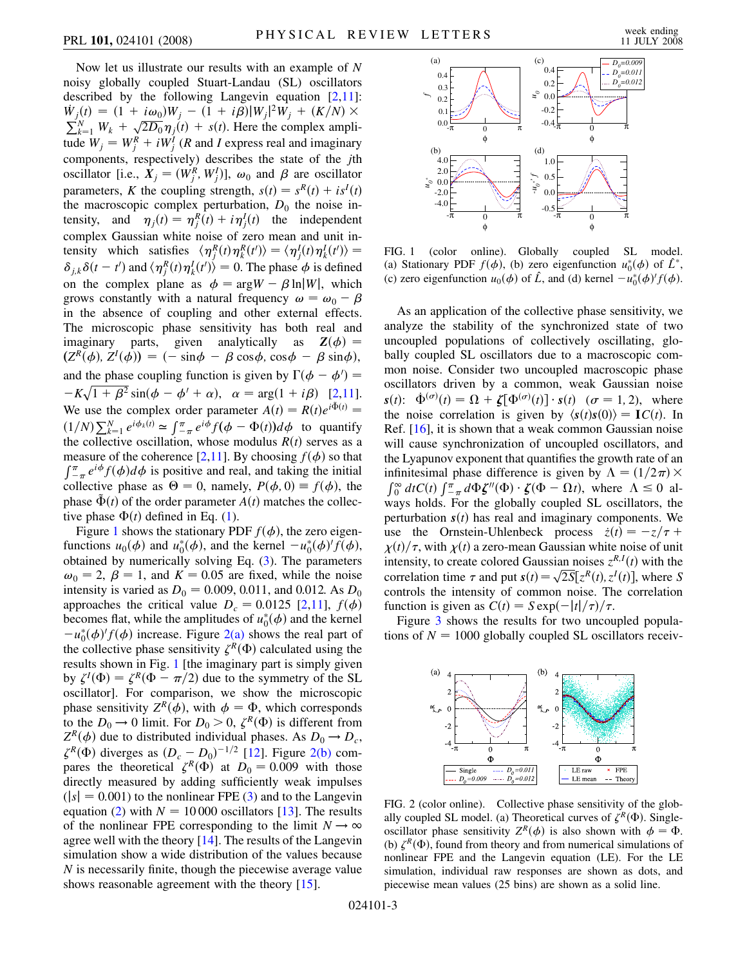Now let us illustrate our results with an example of *N* noisy globally coupled Stuart-Landau (SL) oscillators described by the following Langevin equation  $[2,11]$  $[2,11]$ :  $\dot{W}_j(t) = (1 + i\omega_0)W_j - (1 + i\beta)|W_j|^2W_j + (K/N) \times$  $\sum_{k=1}^{N} W_{k} + \sqrt{2D_{0}} \eta_{j}(t) + s(t)$ . Here the complex amplitude  $W_j = W_j^R + iW_j^{\bar{I}}$  (*R* and *I* express real and imaginary components, respectively) describes the state of the *j*th oscillator [i.e.,  $X_j = (W_j^R, W_j^I)$ ],  $\omega_0$  and  $\beta$  are oscillator parameters, *K* the coupling strength,  $s(t) = s^R(t) + is^I(t)$ the macroscopic complex perturbation,  $D_0$  the noise intensity, and  $\eta_j(t) = \eta_j^R(t) + i \eta_j^I(t)$  the independent complex Gaussian white noise of zero mean and unit intensity which satisfies  $\langle \eta_i^R(t) \eta_k^R(t') \rangle = \langle \eta_j^I(t) \eta_k^I(t') \rangle =$  $\delta_{j,k}\delta(t-t')$  and  $\langle \eta_j^R(t)\eta_k^I(t')\rangle = 0$ . The phase  $\phi$  is defined on the complex plane as  $\phi = \arg W - \beta \ln |W|$ , which grows constantly with a natural frequency  $\omega = \omega_0 - \beta$ in the absence of coupling and other external effects. The microscopic phase sensitivity has both real and imaginary parts, given analytically as  $\mathbf{Z}(\phi) =$  $(Z^R(\phi), Z^I(\phi)) = (-\sin\phi - \beta\cos\phi, \cos\phi - \beta\sin\phi),$ and the phase coupling function is given by  $\Gamma(\phi - \phi') =$  $-K\sqrt{1+\beta^2} \sin(\phi-\phi'+\alpha), \quad \alpha = \arg(1+i\beta)$  [[2,](#page-3-7)[11\]](#page-3-8). We use the complex order parameter  $A(t) = R(t)e^{i\Phi(t)}$  $(1/N)\sum_{k=1}^{N} e^{i\phi_k(t)} \approx \int_{-\pi}^{\pi} e^{i\phi} f(\phi - \Phi(t)) d\phi$  to quantify the collective oscillation, whose modulus  $R(t)$  serves as a measure of the coherence [\[2,](#page-3-7)[11\]](#page-3-8). By choosing  $f(\phi)$  so that  $\int_{-\pi}^{\pi} e^{i\phi} f(\phi) d\phi$  is positive and real, and taking the initial collective phase as  $\Theta = 0$ , namely,  $P(\phi, 0) \equiv f(\phi)$ , the phase  $\tilde{\Phi}(t)$  of the order parameter  $A(t)$  matches the collective phase  $\Phi(t)$  defined in Eq. [\(1](#page-0-0)).

Figure [1](#page-2-0) shows the stationary PDF  $f(\phi)$ , the zero eigenfunctions  $u_0(\phi)$  and  $u_0^*(\phi)$ , and the kernel  $-u_0^*(\phi)'f(\phi)$ , obtained by numerically solving Eq. ([3](#page-1-1)). The parameters  $\omega_0 = 2$ ,  $\beta = 1$ , and  $K = 0.05$  are fixed, while the noise intensity is varied as  $D_0 = 0.009, 0.011,$  and 0.012. As  $D_0$ approaches the critical value  $D_c = 0.0125$  $D_c = 0.0125$  $D_c = 0.0125$  [2,[11](#page-3-8)],  $f(\phi)$ becomes flat, while the amplitudes of  $u_0^*(\phi)$  and the kernel  $-u_0^*(\phi)/f(\phi)$  increase. Figure [2\(a\)](#page-2-1) shows the real part of the collective phase sensitivity  $\zeta^R(\Phi)$  calculated using the results shown in Fig. [1](#page-2-0) [the imaginary part is simply given by  $\zeta^I(\Phi) = \zeta^R(\Phi - \pi/2)$  due to the symmetry of the SL oscillator]. For comparison, we show the microscopic phase sensitivity  $Z^R(\phi)$ , with  $\phi = \Phi$ , which corresponds to the  $D_0 \to 0$  limit. For  $D_0 > 0$ ,  $\zeta^R(\Phi)$  is different from  $Z^R(\phi)$  due to distributed individual phases. As  $D_0 \rightarrow D_c$ ,  $\zeta^R(\Phi)$  diverges as  $(D_c - D_0)^{-1/2}$  [[12](#page-3-9)]. Figure [2\(b\)](#page-2-1) compares the theoretical  $\zeta^R(\Phi)$  at  $D_0 = 0.009$  with those directly measured by adding sufficiently weak impulses  $(|s| = 0.001)$  to the nonlinear FPE ([3\)](#page-1-1) and to the Langevin equation ([2\)](#page-1-0) with  $N = 10000$  oscillators [[13](#page-3-10)]. The results of the nonlinear FPE corresponding to the limit  $N \to \infty$ agree well with the theory [\[14\]](#page-3-11). The results of the Langevin simulation show a wide distribution of the values because *N* is necessarily finite, though the piecewise average value shows reasonable agreement with the theory [\[15\]](#page-3-12).

<span id="page-2-0"></span>

FIG. 1 (color online). Globally coupled SL model. (a) Stationary PDF  $f(\phi)$ , (b) zero eigenfunction  $u_0^*(\phi)$  of  $\hat{L}^*$ , (c) zero eigenfunction  $u_0(\phi)$  of  $\hat{L}$ , and (d) kernel  $-\tilde{u}_0^*(\phi)'f(\phi)$ .

As an application of the collective phase sensitivity, we analyze the stability of the synchronized state of two uncoupled populations of collectively oscillating, globally coupled SL oscillators due to a macroscopic common noise. Consider two uncoupled macroscopic phase oscillators driven by a common, weak Gaussian noise  $s(t)$ :  $\dot{\Phi}^{(\sigma)}(t) = \Omega + \zeta[\Phi^{(\sigma)}(t)] \cdot s(t) \quad (\sigma = 1, 2)$ , where the noise correlation is given by  $\langle s(t)s(0) \rangle = \mathbf{I}C(t)$ . In Ref. [[16](#page-3-13)], it is shown that a weak common Gaussian noise will cause synchronization of uncoupled oscillators, and the Lyapunov exponent that quantifies the growth rate of an infinitesimal phase difference is given by  $\Lambda = (1/2\pi) \times$  $\int_0^\infty dt C(t) \int_{-\pi}^{\pi} d\Phi \zeta''(\Phi) \cdot \zeta(\Phi - \Omega t)$ , where  $\Lambda \le 0$  always holds. For the globally coupled SL oscillators, the perturbation  $s(t)$  has real and imaginary components. We use the Ornstein-Uhlenbeck process  $\dot{z}(t) = -z/\tau +$  $\chi(t)/\tau$ , with  $\chi(t)$  a zero-mean Gaussian white noise of unit intensity, to create colored Gaussian noises  $z^{R,I}(t)$  with the correlation time  $\tau$  and put  $s(t) = \sqrt{2S} [z^R(t), z^I(t)]$ , where *S* controls the intensity of common noise. The correlation function is given as  $C(t) = S \exp(-|t|/\tau)/\tau$ .

Figure [3](#page-3-6) shows the results for two uncoupled populations of  $N = 1000$  globally coupled SL oscillators receiv-



<span id="page-2-1"></span>FIG. 2 (color online). Collective phase sensitivity of the globally coupled SL model. (a) Theoretical curves of  $\zeta^R(\Phi)$ . Singleoscillator phase sensitivity  $Z^R(\phi)$  is also shown with  $\phi = \Phi$ . (b)  $\zeta^R(\Phi)$ , found from theory and from numerical simulations of nonlinear FPE and the Langevin equation (LE). For the LE simulation, individual raw responses are shown as dots, and piecewise mean values (25 bins) are shown as a solid line.